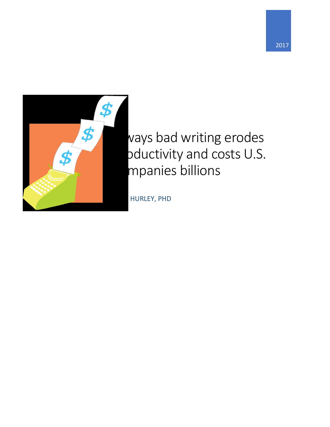



# vays bad writing erodes pductivity and costs U.S. mpanies billions

HURLEY, PHD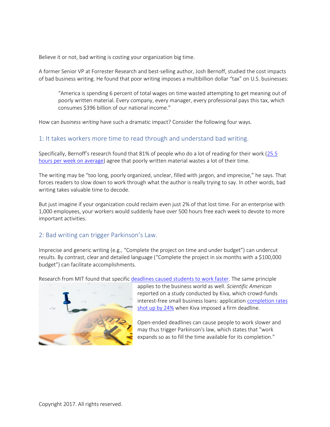Believe it or not, bad writing is costing your organization big time.

A former Senior VP at Forrester Research and best-selling author, Josh Bernoff, studied the cost impacts of bad business writing. He found that poor writing imposes a multibillion dollar "tax" on U.S. businesses:

"America is spending 6 percent of total wages on time wasted attempting to get meaning out of poorly written material. Every company, every manager, every professional pays this tax, which consumes \$396 billion of our national income."

How can *business writing* have such a dramatic impact? Consider the following four ways.

### 1: It takes workers more time to read through and understand bad writing.

Specifically, Bernoff's research found that 81% of people who do a lot of reading for their work ([25.5](https://hbr.org/2016/09/bad-writing-is-destroying-your-companys-productivity)  [hours per week on average\)](https://hbr.org/2016/09/bad-writing-is-destroying-your-companys-productivity) agree that poorly written material wastes a lot of their time.

The writing may be "too long, poorly organized, unclear, filled with jargon, and imprecise," he says. That forces readers to slow down to work through what the author is really trying to say. In other words, bad writing takes valuable time to decode.

But just imagine if your organization could reclaim even just 2% of that lost time. For an enterprise with 1,000 employees, your workers would suddenly have over 500 hours free each week to devote to more important activities.

### 2: Bad writing can trigger Parkinson's Law.

Imprecise and generic writing (e.g., "Complete the project on time and under budget") can undercut results. By contrast, clear and detailed language ("Complete the project in six months with a \$100,000 budget") can facilitate accomplishments.

Research from MIT found that specific [deadlines caused students to work faster.](https://faculty.haas.berkeley.edu/brchen/2001-104.pdf) The same principle



applies to the business world as well. *Scientific American*  reported on a study conducted by Kiva, which crowd-funds interest-free small business loans: application [completion rates](https://richardgouldewriting-my.sharepoint.com/personal/richard_richardgoulde_com/Documents/Clients%20RGW-ODB/Hurley%20Write/24%20percent%20more%20people%20completed%20the%20application)  [shot up by 24%](https://richardgouldewriting-my.sharepoint.com/personal/richard_richardgoulde_com/Documents/Clients%20RGW-ODB/Hurley%20Write/24%20percent%20more%20people%20completed%20the%20application) when Kiva imposed a firm deadline.

Open-ended deadlines can cause people to work slower and may thus trigger Parkinson's law, which states that "work expands so as to fill the time available for its completion."